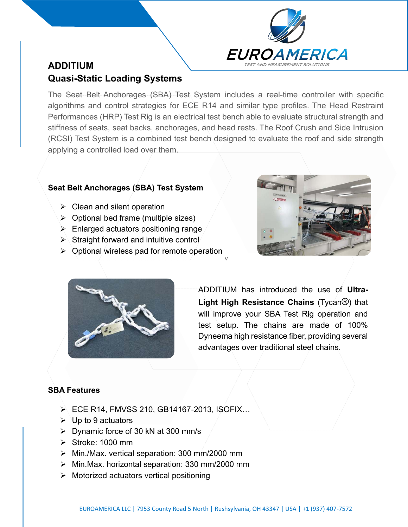

# **ADDITIUM Quasi-Static Loading Systems**

The Seat Belt Anchorages (SBA) Test System includes a real-time controller with specific algorithms and control strategies for ECE R14 and similar type profiles. The Head Restraint Performances (HRP) Test Rig is an electrical test bench able to evaluate structural strength and stiffness of seats, seat backs, anchorages, and head rests. The Roof Crush and Side Intrusion (RCSI) Test System is a combined test bench designed to evaluate the roof and side strength applying a controlled load over them.

### **Seat Belt Anchorages (SBA) Test System**

- $\triangleright$  Clean and silent operation
- $\triangleright$  Optional bed frame (multiple sizes)
- $\triangleright$  Enlarged actuators positioning range
- $\triangleright$  Straight forward and intuitive control
- v  $\triangleright$  Optional wireless pad for remote operation





ADDITIUM has introduced the use of **Ultra-Light High Resistance Chains** (Tycan®) that will improve your SBA Test Rig operation and test setup. The chains are made of 100% Dyneema high resistance fiber, providing several advantages over traditional steel chains.

## **SBA Features**

- ➢ ECE R14, FMVSS 210, GB14167-2013, ISOFIX…
- $\triangleright$  Up to 9 actuators
- ➢ Dynamic force of 30 kN at 300 mm/s
- ➢ Stroke: 1000 mm
- ➢ Min./Max. vertical separation: 300 mm/2000 mm
- ➢ Min.Max. horizontal separation: 330 mm/2000 mm
- ➢ Motorized actuators vertical positioning